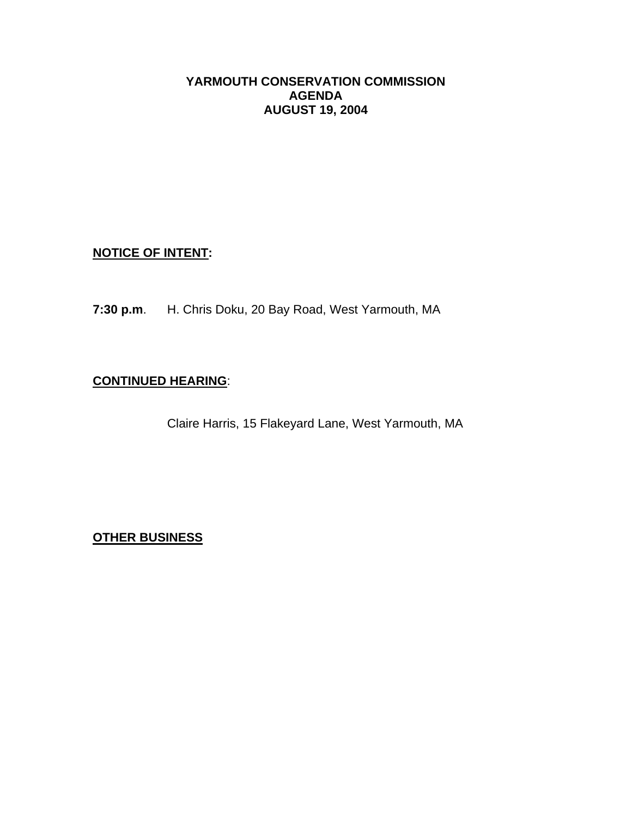# **YARMOUTH CONSERVATION COMMISSION AGENDA AUGUST 19, 2004**

# **NOTICE OF INTENT:**

**7:30 p.m**. H. Chris Doku, 20 Bay Road, West Yarmouth, MA

# **CONTINUED HEARING**:

Claire Harris, 15 Flakeyard Lane, West Yarmouth, MA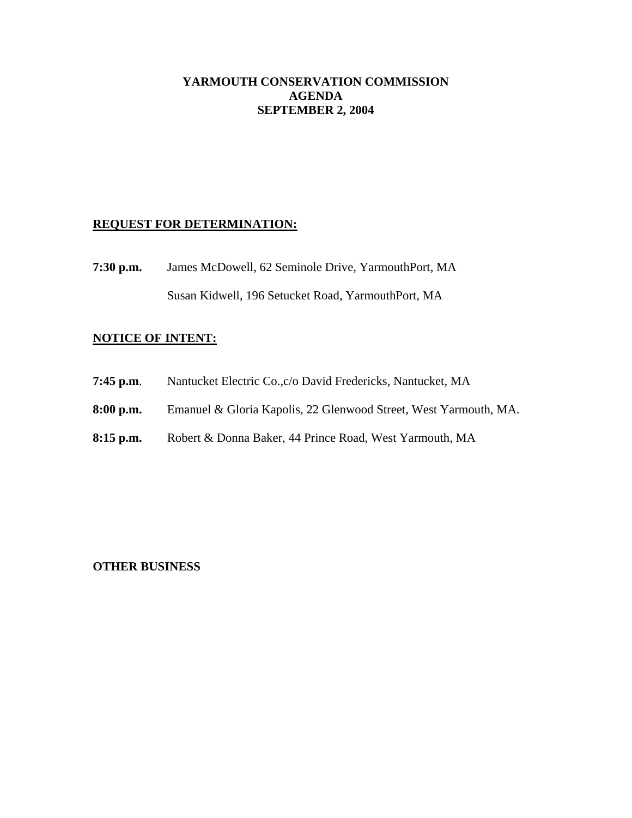## **YARMOUTH CONSERVATION COMMISSION AGENDA SEPTEMBER 2, 2004**

## **REQUEST FOR DETERMINATION:**

**7:30 p.m.** James McDowell, 62 Seminole Drive, YarmouthPort, MA Susan Kidwell, 196 Setucket Road, YarmouthPort, MA

# **NOTICE OF INTENT:**

- **7:45 p.m**. Nantucket Electric Co.,c/o David Fredericks, Nantucket, MA
- **8:00 p.m.** Emanuel & Gloria Kapolis, 22 Glenwood Street, West Yarmouth, MA.
- **8:15 p.m.** Robert & Donna Baker, 44 Prince Road, West Yarmouth, MA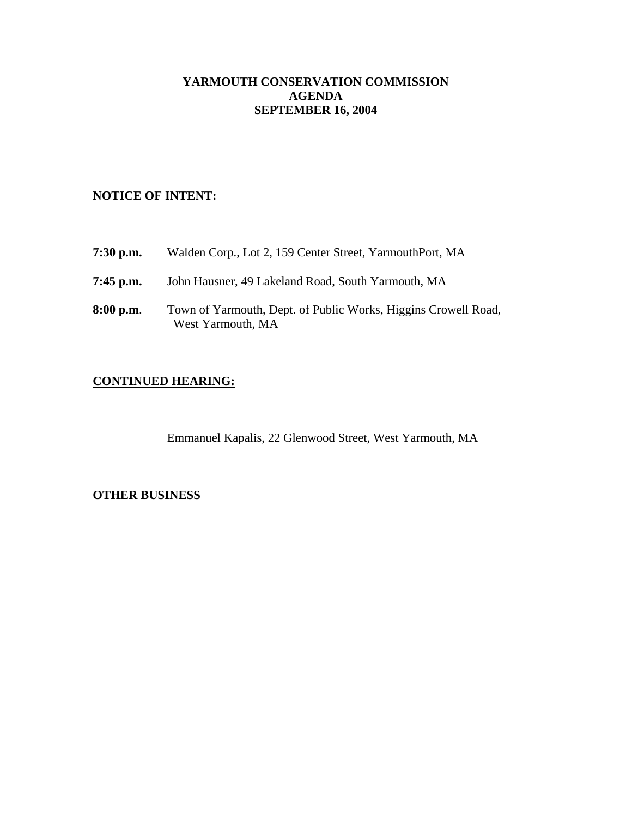# **YARMOUTH CONSERVATION COMMISSION AGENDA SEPTEMBER 16, 2004**

# **NOTICE OF INTENT:**

| 7:30 p.m.   | Walden Corp., Lot 2, 159 Center Street, YarmouthPort, MA                            |
|-------------|-------------------------------------------------------------------------------------|
| 7:45 p.m.   | John Hausner, 49 Lakeland Road, South Yarmouth, MA                                  |
| $8:00$ p.m. | Town of Yarmouth, Dept. of Public Works, Higgins Crowell Road,<br>West Yarmouth, MA |

# **CONTINUED HEARING:**

Emmanuel Kapalis, 22 Glenwood Street, West Yarmouth, MA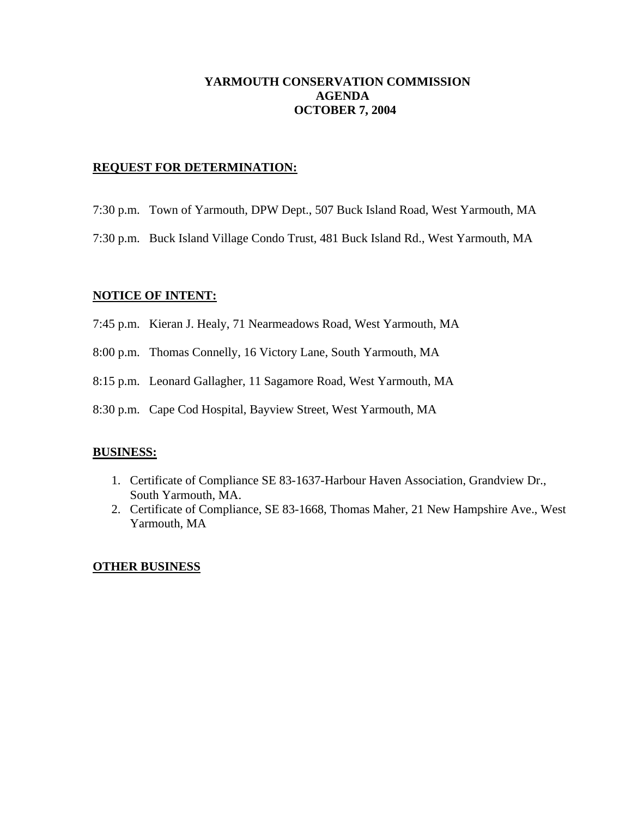# **YARMOUTH CONSERVATION COMMISSION AGENDA OCTOBER 7, 2004**

## **REQUEST FOR DETERMINATION:**

- 7:30 p.m. Town of Yarmouth, DPW Dept., 507 Buck Island Road, West Yarmouth, MA
- 7:30 p.m. Buck Island Village Condo Trust, 481 Buck Island Rd., West Yarmouth, MA

## **NOTICE OF INTENT:**

- 7:45 p.m. Kieran J. Healy, 71 Nearmeadows Road, West Yarmouth, MA
- 8:00 p.m. Thomas Connelly, 16 Victory Lane, South Yarmouth, MA
- 8:15 p.m. Leonard Gallagher, 11 Sagamore Road, West Yarmouth, MA
- 8:30 p.m. Cape Cod Hospital, Bayview Street, West Yarmouth, MA

#### **BUSINESS:**

- 1. Certificate of Compliance SE 83-1637-Harbour Haven Association, Grandview Dr., South Yarmouth, MA.
- 2. Certificate of Compliance, SE 83-1668, Thomas Maher, 21 New Hampshire Ave., West Yarmouth, MA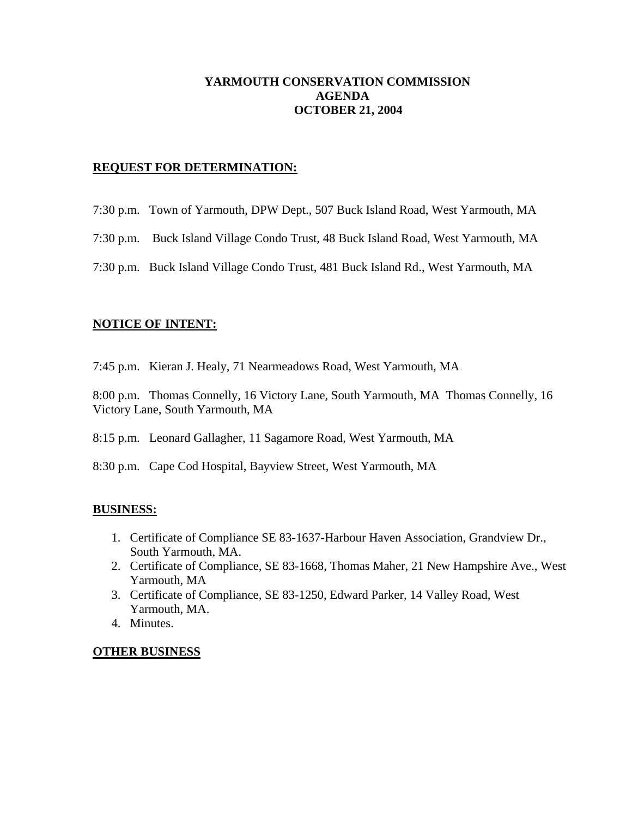# **YARMOUTH CONSERVATION COMMISSION AGENDA OCTOBER 21, 2004**

## **REQUEST FOR DETERMINATION:**

- 7:30 p.m. Town of Yarmouth, DPW Dept., 507 Buck Island Road, West Yarmouth, MA
- 7:30 p.m. Buck Island Village Condo Trust, 48 Buck Island Road, West Yarmouth, MA
- 7:30 p.m. Buck Island Village Condo Trust, 481 Buck Island Rd., West Yarmouth, MA

#### **NOTICE OF INTENT:**

7:45 p.m. Kieran J. Healy, 71 Nearmeadows Road, West Yarmouth, MA

8:00 p.m. Thomas Connelly, 16 Victory Lane, South Yarmouth, MA Thomas Connelly, 16 Victory Lane, South Yarmouth, MA

8:15 p.m. Leonard Gallagher, 11 Sagamore Road, West Yarmouth, MA

8:30 p.m. Cape Cod Hospital, Bayview Street, West Yarmouth, MA

#### **BUSINESS:**

- 1. Certificate of Compliance SE 83-1637-Harbour Haven Association, Grandview Dr., South Yarmouth, MA.
- 2. Certificate of Compliance, SE 83-1668, Thomas Maher, 21 New Hampshire Ave., West Yarmouth, MA
- 3. Certificate of Compliance, SE 83-1250, Edward Parker, 14 Valley Road, West Yarmouth, MA.
- 4. Minutes.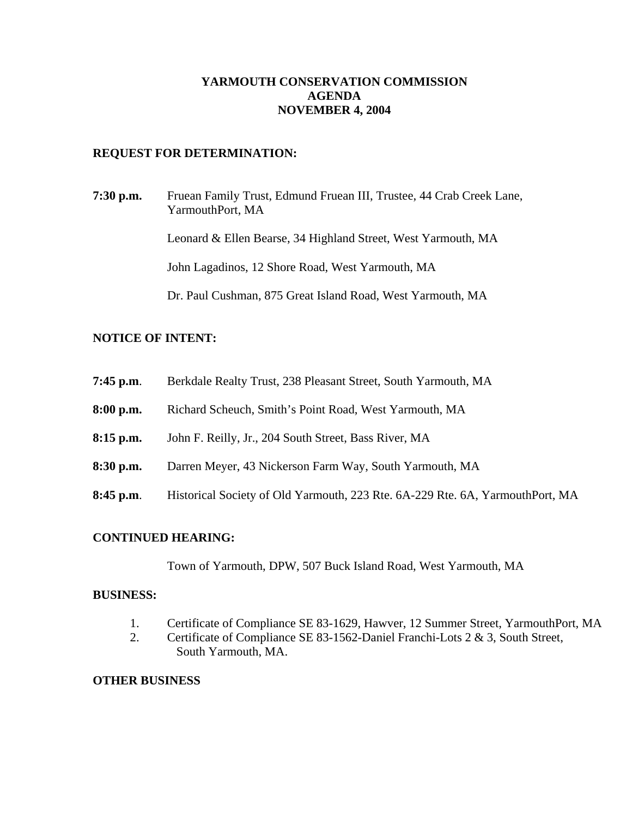# **YARMOUTH CONSERVATION COMMISSION AGENDA NOVEMBER 4, 2004**

## **REQUEST FOR DETERMINATION:**

**7:30 p.m.** Fruean Family Trust, Edmund Fruean III, Trustee, 44 Crab Creek Lane, YarmouthPort, MA Leonard & Ellen Bearse, 34 Highland Street, West Yarmouth, MA John Lagadinos, 12 Shore Road, West Yarmouth, MA Dr. Paul Cushman, 875 Great Island Road, West Yarmouth, MA

## **NOTICE OF INTENT:**

- **7:45 p.m**. Berkdale Realty Trust, 238 Pleasant Street, South Yarmouth, MA
- **8:00 p.m.** Richard Scheuch, Smith's Point Road, West Yarmouth, MA
- **8:15 p.m.** John F. Reilly, Jr., 204 South Street, Bass River, MA
- **8:30 p.m.** Darren Meyer, 43 Nickerson Farm Way, South Yarmouth, MA
- **8:45 p.m**. Historical Society of Old Yarmouth, 223 Rte. 6A-229 Rte. 6A, YarmouthPort, MA

#### **CONTINUED HEARING:**

Town of Yarmouth, DPW, 507 Buck Island Road, West Yarmouth, MA

#### **BUSINESS:**

- 1. Certificate of Compliance SE 83-1629, Hawver, 12 Summer Street, YarmouthPort, MA
- 2. Certificate of Compliance SE 83-1562-Daniel Franchi-Lots 2 & 3, South Street, South Yarmouth, MA.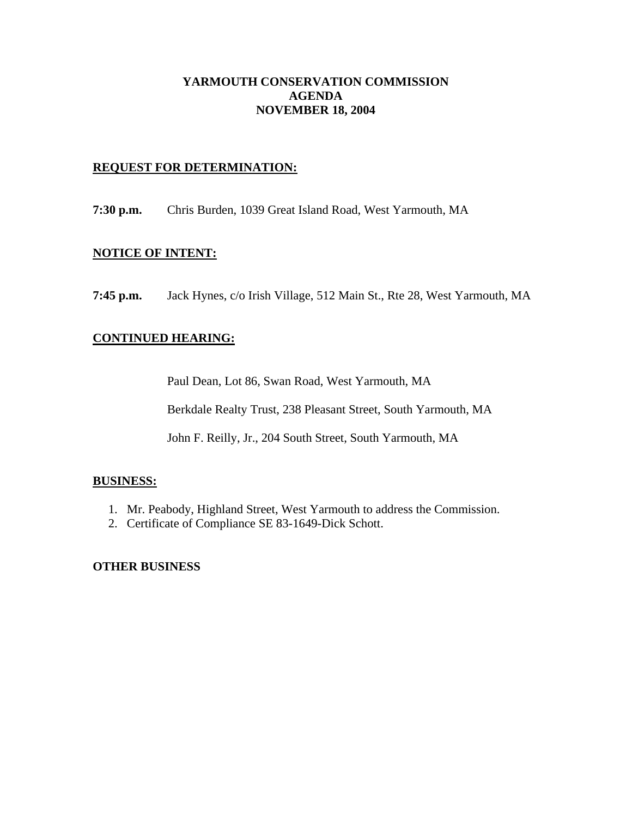## **YARMOUTH CONSERVATION COMMISSION AGENDA NOVEMBER 18, 2004**

## **REQUEST FOR DETERMINATION:**

**7:30 p.m.** Chris Burden, 1039 Great Island Road, West Yarmouth, MA

## **NOTICE OF INTENT:**

**7:45 p.m.** Jack Hynes, c/o Irish Village, 512 Main St., Rte 28, West Yarmouth, MA

## **CONTINUED HEARING:**

Paul Dean, Lot 86, Swan Road, West Yarmouth, MA

Berkdale Realty Trust, 238 Pleasant Street, South Yarmouth, MA

John F. Reilly, Jr., 204 South Street, South Yarmouth, MA

#### **BUSINESS:**

- 1. Mr. Peabody, Highland Street, West Yarmouth to address the Commission.
- 2. Certificate of Compliance SE 83-1649-Dick Schott.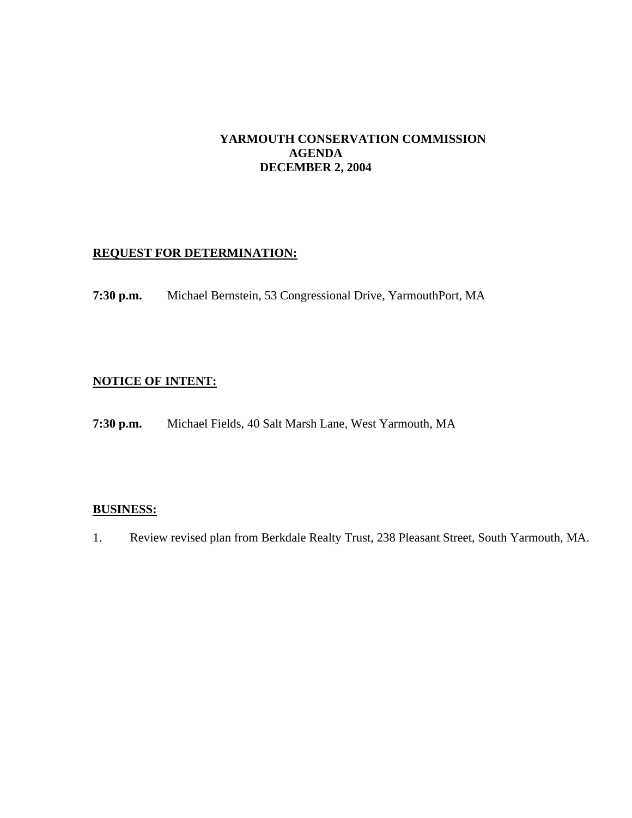# **YARMOUTH CONSERVATION COMMISSION AGENDA DECEMBER 2, 2004**

# **REQUEST FOR DETERMINATION:**

**7:30 p.m.** Michael Bernstein, 53 Congressional Drive, YarmouthPort, MA

# **NOTICE OF INTENT:**

**7:30 p.m.** Michael Fields, 40 Salt Marsh Lane, West Yarmouth, MA

## **BUSINESS:**

1. Review revised plan from Berkdale Realty Trust, 238 Pleasant Street, South Yarmouth, MA.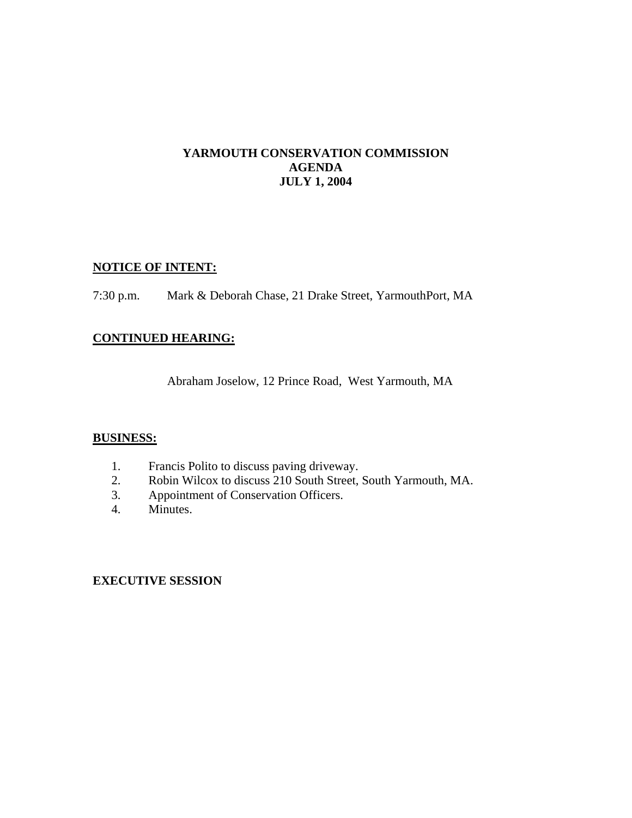## **YARMOUTH CONSERVATION COMMISSION AGENDA JULY 1, 2004**

# **NOTICE OF INTENT:**

7:30 p.m. Mark & Deborah Chase, 21 Drake Street, YarmouthPort, MA

# **CONTINUED HEARING:**

Abraham Joselow, 12 Prince Road, West Yarmouth, MA

## **BUSINESS:**

- 1. Francis Polito to discuss paving driveway.
- 2. Robin Wilcox to discuss 210 South Street, South Yarmouth, MA.
- 3. Appointment of Conservation Officers.
- 4. Minutes.

## **EXECUTIVE SESSION**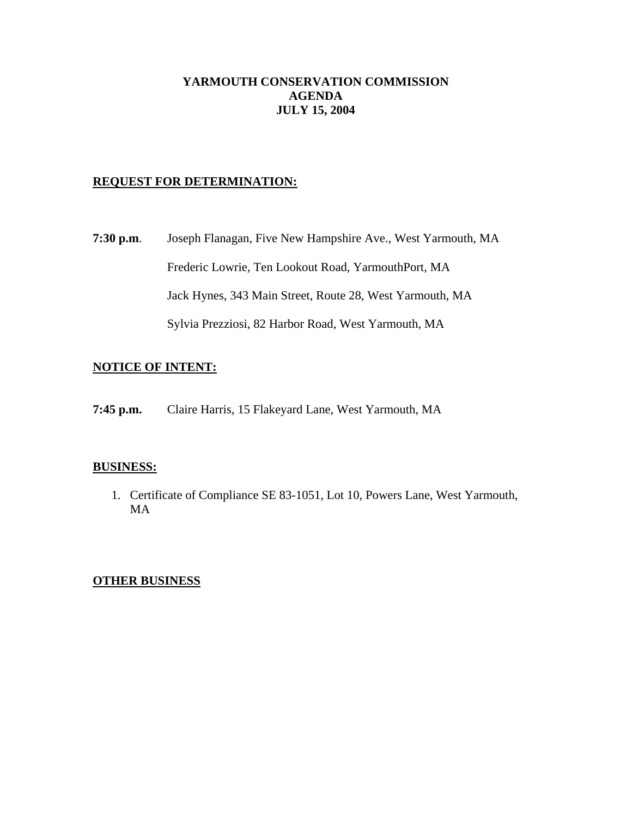# **YARMOUTH CONSERVATION COMMISSION AGENDA JULY 15, 2004**

# **REQUEST FOR DETERMINATION:**

**7:30 p.m**. Joseph Flanagan, Five New Hampshire Ave., West Yarmouth, MA Frederic Lowrie, Ten Lookout Road, YarmouthPort, MA Jack Hynes, 343 Main Street, Route 28, West Yarmouth, MA Sylvia Prezziosi, 82 Harbor Road, West Yarmouth, MA

# **NOTICE OF INTENT:**

**7:45 p.m.** Claire Harris, 15 Flakeyard Lane, West Yarmouth, MA

#### **BUSINESS:**

1. Certificate of Compliance SE 83-1051, Lot 10, Powers Lane, West Yarmouth, MA